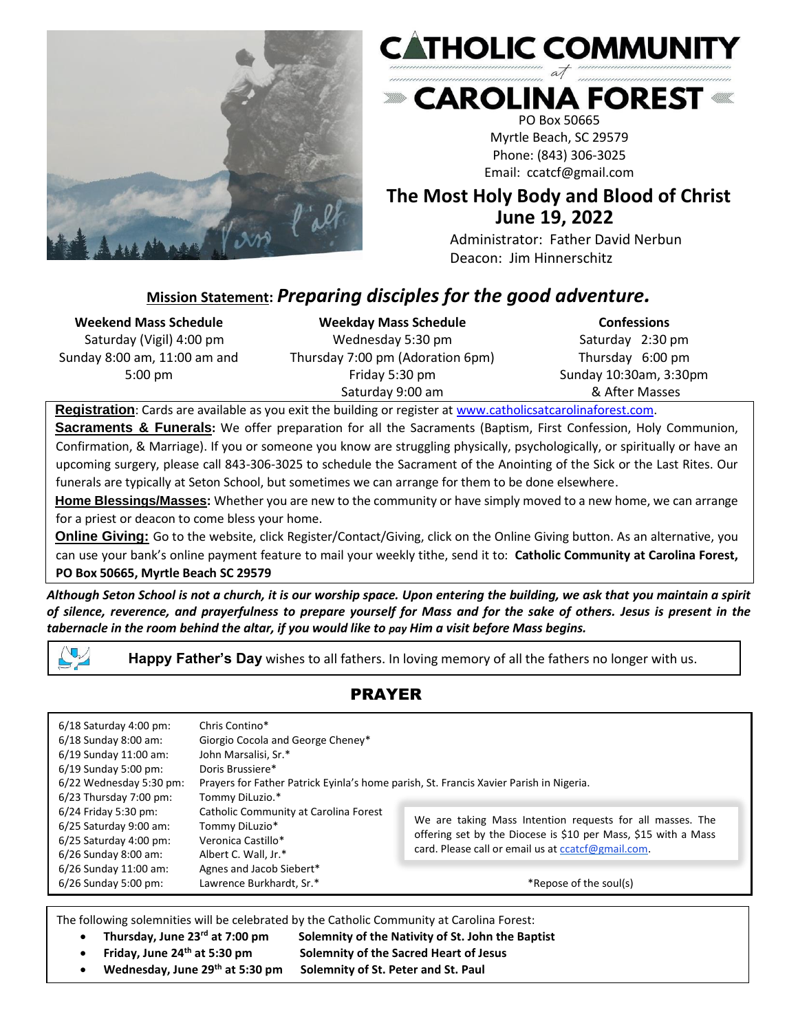



**EXAROLINA FOREST & SAROLINA FOREST** 

PO Box 50665 Myrtle Beach, SC 29579 Phone: (843) 306-3025 Email: ccatcf@gmail.com

# **The Most Holy Body and Blood of Christ June 19, 2022**

Administrator: Father David Nerbun Deacon: Jim Hinnerschitz

# **Mission Statement:** *Preparing disciples for the good adventure.*

#### **Weekend Mass Schedule**

Saturday (Vigil) 4:00 pm Sunday 8:00 am, 11:00 am and 5:00 pm

**Weekday Mass Schedule** Wednesday 5:30 pm Thursday 7:00 pm (Adoration 6pm) Friday 5:30 pm Saturday 9:00 am

**Confessions** Saturday 2:30 pm Thursday 6:00 pm Sunday 10:30am, 3:30pm & After Masses

**Registration**: Cards are available as you exit the building or register at [www.catholicsatcarolinaforest.com.](http://www.catholicsatcarolinaforest.com/)

**Sacraments & Funerals:** We offer preparation for all the Sacraments (Baptism, First Confession, Holy Communion, Confirmation, & Marriage). If you or someone you know are struggling physically, psychologically, or spiritually or have an upcoming surgery, please call 843-306-3025 to schedule the Sacrament of the Anointing of the Sick or the Last Rites. Our funerals are typically at Seton School, but sometimes we can arrange for them to be done elsewhere.

**Home Blessings/Masses:** Whether you are new to the community or have simply moved to a new home, we can arrange for a priest or deacon to come bless your home.

**Online Giving:** Go to the website, click Register/Contact/Giving, click on the Online Giving button. As an alternative, you can use your bank's online payment feature to mail your weekly tithe, send it to: **Catholic Community at Carolina Forest, PO Box 50665, Myrtle Beach SC 29579**

*Although Seton School is not a church, it is our worship space. Upon entering the building, we ask that you maintain a spirit of silence, reverence, and prayerfulness to prepare yourself for Mass and for the sake of others. Jesus is present in the tabernacle in the room behind the altar, if you would like to pay Him a visit before Mass begins.*

**Happy Father's Day** wishes to all fathers. In loving memory of all the fathers no longer with us.

PRAYER

| $6/18$ Saturday 4:00 pm: | Chris Contino*                                                                         |                                                                                                                                                                                   |
|--------------------------|----------------------------------------------------------------------------------------|-----------------------------------------------------------------------------------------------------------------------------------------------------------------------------------|
| $6/18$ Sunday 8:00 am:   | Giorgio Cocola and George Cheney*                                                      |                                                                                                                                                                                   |
| 6/19 Sunday 11:00 am:    | John Marsalisi, Sr.*                                                                   |                                                                                                                                                                                   |
| $6/19$ Sunday 5:00 pm:   | Doris Brussiere*                                                                       |                                                                                                                                                                                   |
| 6/22 Wednesday 5:30 pm:  | Prayers for Father Patrick Eyinla's home parish, St. Francis Xavier Parish in Nigeria. |                                                                                                                                                                                   |
| 6/23 Thursday 7:00 pm:   | Tommy DiLuzio.*                                                                        |                                                                                                                                                                                   |
| 6/24 Friday 5:30 pm:     | Catholic Community at Carolina Forest                                                  | We are taking Mass Intention requests for all masses. The<br>offering set by the Diocese is \$10 per Mass, \$15 with a Mass<br>card. Please call or email us at ccatcf@gmail.com. |
| 6/25 Saturday 9:00 am:   | Tommy DiLuzio*                                                                         |                                                                                                                                                                                   |
| 6/25 Saturday 4:00 pm:   | Veronica Castillo*                                                                     |                                                                                                                                                                                   |
| 6/26 Sunday 8:00 am:     | Albert C. Wall, Jr.*                                                                   |                                                                                                                                                                                   |
| 6/26 Sunday 11:00 am:    | Agnes and Jacob Siebert*                                                               |                                                                                                                                                                                   |
| $6/26$ Sunday 5:00 pm:   | Lawrence Burkhardt, Sr.*                                                               | *Repose of the soul(s)                                                                                                                                                            |

The following solemnities will be celebrated by the Catholic Community at Carolina Forest:

• **Thursday, June 23rd at 7:00 pm Solemnity of the Nativity of St. John the Baptist** • **Friday, June 24th at 5:30 pm Solemnity of the Sacred Heart of Jesus**  • **Wednesday, June 29th at 5:30 pm Solemnity of St. Peter and St. Paul**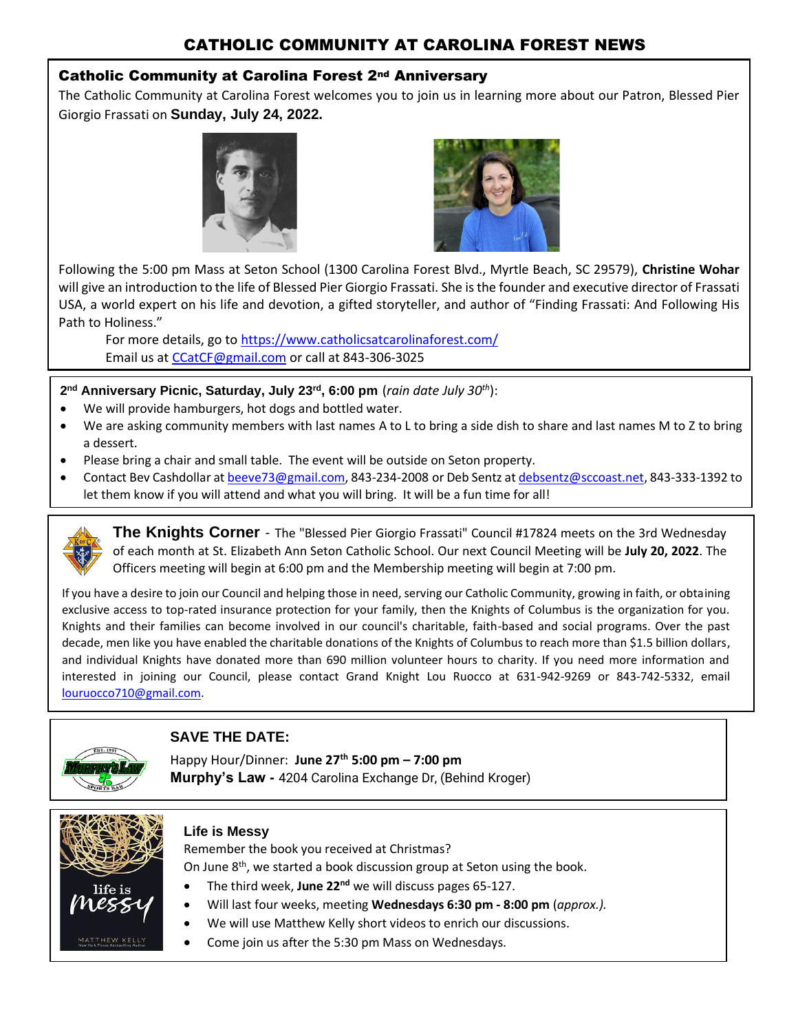### CATHOLIC COMMUNITY AT CAROLINA FOREST NEWS

#### Catholic Community at Carolina Forest 2nd Anniversary

The Catholic Community at Carolina Forest welcomes you to join us in learning more about our Patron, Blessed Pier Giorgio Frassati on **Sunday, July 24, 2022.**





Following the 5:00 pm Mass at Seton School (1300 Carolina Forest Blvd., Myrtle Beach, SC 29579), **Christine Wohar** will give an introduction to the life of Blessed Pier Giorgio Frassati. She is the founder and executive director of Frassati USA, a world expert on his life and devotion, a gifted storyteller, and author of "Finding Frassati: And Following His Path to Holiness."

For more details, go t[o https://www.catholicsatcarolinaforest.com/](https://www.catholicsatcarolinaforest.com/) Email us at [CCatCF@gmail.com](mailto:CCatCF@gmail.com) or call at 843-306-3025

**2 nd Anniversary Picnic, Saturday, July 23rd , 6:00 pm** (*rain date July 30th*):

- We will provide hamburgers, hot dogs and bottled water.
- We are asking community members with last names A to L to bring a side dish to share and last names M to Z to bring a dessert.
- Please bring a chair and small table. The event will be outside on Seton property.
- Contact Bev Cashdollar a[t beeve73@gmail.com,](mailto:beeve73@gmail.com) 843-234-2008 or Deb Sentz at [debsentz@sccoast.net,](mailto:debsentz@sccoast.net) 843-333-1392 to let them know if you will attend and what you will bring. It will be a fun time for all!



**The Knights Corner** - The "Blessed Pier Giorgio Frassati" Council #17824 meets on the 3rd Wednesday of each month at St. Elizabeth Ann Seton Catholic School. Our next Council Meeting will be **July 20, 2022**. The Officers meeting will begin at 6:00 pm and the Membership meeting will begin at 7:00 pm.

If you have a desire to join our Council and helping those in need, serving our Catholic Community, growing in faith, or obtaining exclusive access to top-rated insurance protection for your family, then the Knights of Columbus is the organization for you. Knights and their families can become involved in our council's charitable, faith-based and social programs. Over the past decade, men like you have enabled the charitable donations of the Knights of Columbus to reach more than \$1.5 billion dollars, and individual Knights have donated more than 690 million volunteer hours to charity. If you need more information and interested in joining our Council, please contact Grand Knight Lou Ruocco at 631-942-9269 or 843-742-5332, email [louruocco710@gmail.com.](mailto:louruocco710@gmail.com)



### **SAVE THE DATE:**

Happy Hour/Dinner: **June 27th 5:00 pm – 7:00 pm Murphy's Law -** 4204 Carolina Exchange Dr, (Behind Kroger)



#### **Life is Messy**

Remember the book you received at Christmas? On June 8<sup>th</sup>, we started a book discussion group at Seton using the book.

- The third week, **June 22nd** we will discuss pages 65-127.
- Will last four weeks, meeting **Wednesdays 6:30 pm - 8:00 pm** (*approx.).*
- We will use Matthew Kelly short videos to enrich our discussions.
	- Come join us after the 5:30 pm Mass on Wednesdays.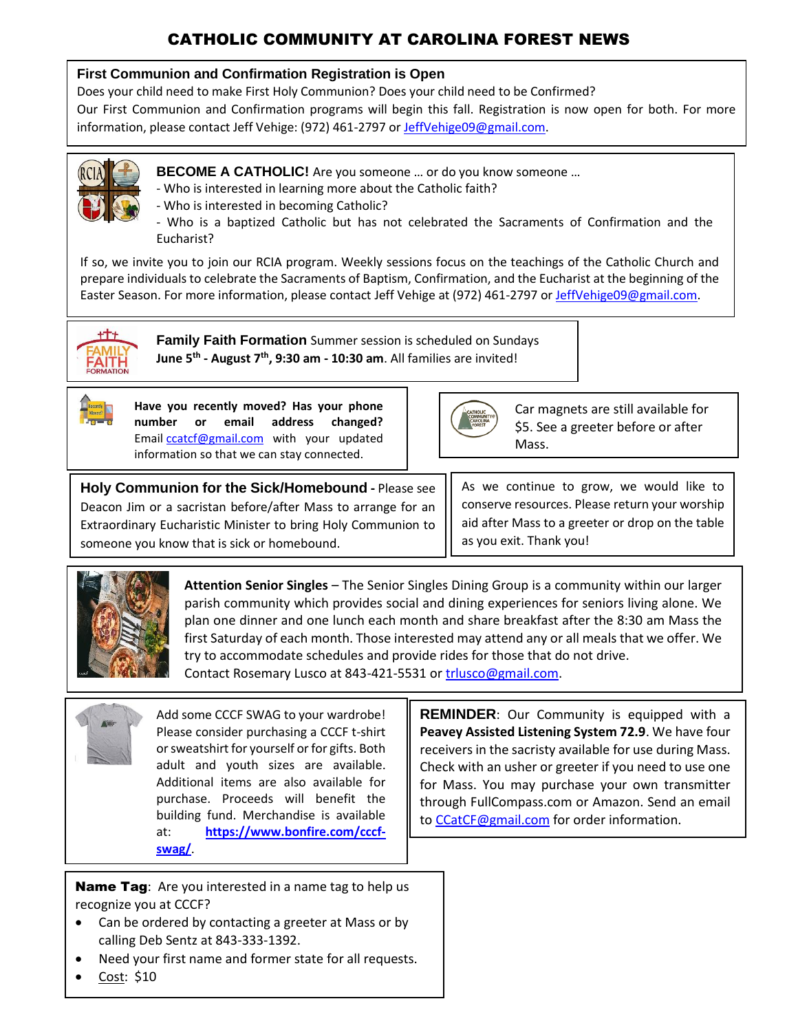# CATHOLIC COMMUNITY AT CAROLINA FOREST NEWS

#### **First Communion and Confirmation Registration is Open**

Does your child need to make First Holy Communion? Does your child need to be Confirmed?

Our First Communion and Confirmation programs will begin this fall. Registration is now open for both. For more information, please contact Jeff Vehige: (972) 461-2797 or [JeffVehige09@gmail.com.](mailto:JeffVehige09@gmail.com)



- **BECOME A CATHOLIC!** Are you someone ... or do you know someone ...
- Who is interested in learning more about the Catholic faith?
- Who is interested in becoming Catholic?



If so, we invite you to join our RCIA program. Weekly sessions focus on the teachings of the Catholic Church and prepare individuals to celebrate the Sacraments of Baptism, Confirmation, and the Eucharist at the beginning of the Easter Season. For more information, please contact Jeff Vehige at (972) 461-2797 or [JeffVehige09@gmail.com.](mailto:JeffVehige09@gmail.com)



**Family Faith Formation** Summer session is scheduled on Sundays **June 5th - August 7th, 9:30 am - 10:30 am**. All families are invited!



**Have you recently moved? Has your phone number or email address changed?**  Email [ccatcf@gmail.com](mailto:ccatcf@gmail.com) with your updated information so that we can stay connected.



Car magnets are still available for \$5. See a greeter before or after Mass.

**Holy Communion for the Sick/Homebound -** Please see Deacon Jim or a sacristan before/after Mass to arrange for an Extraordinary Eucharistic Minister to bring Holy Communion to someone you know that is sick or homebound.

As we continue to grow, we would like to conserve resources. Please return your worship aid after Mass to a greeter or drop on the table as you exit. Thank you!



**Attention Senior Singles** – The Senior Singles Dining Group is a community within our larger parish community which provides social and dining experiences for seniors living alone. We plan one dinner and one lunch each month and share breakfast after the 8:30 am Mass the first Saturday of each month. Those interested may attend any or all meals that we offer. We try to accommodate schedules and provide rides for those that do not drive. Contact Rosemary Lusco at 843-421-5531 or [trlusco@gmail.com.](mailto:trlusco@gmail.com)

Add some CCCF SWAG to your wardrobe! Please consider purchasing a CCCF t-shirt or sweatshirt for yourself or for gifts. Both adult and youth sizes are available. Additional items are also available for purchase. Proceeds will benefit the building fund. Merchandise is available at: **[https://www.bonfire.com/cccf](https://www.bonfire.com/cccf-swag/?fbclid=IwAR0vZb-FkX84Gv-lFbgCm7cMDfyo6sTwI9Wf8uFT-r952qECpezfFjoX_wY)[swag/](https://www.bonfire.com/cccf-swag/?fbclid=IwAR0vZb-FkX84Gv-lFbgCm7cMDfyo6sTwI9Wf8uFT-r952qECpezfFjoX_wY)**.

Name Tag: Are you interested in a name tag to help us recognize you at CCCF?

- Can be ordered by contacting a greeter at Mass or by calling Deb Sentz at 843-333-1392.
- Need your first name and former state for all requests.
- Cost: \$10

**REMINDER**: Our Community is equipped with a **Peavey Assisted Listening System 72.9**. We have four receivers in the sacristy available for use during Mass. Check with an usher or greeter if you need to use one for Mass. You may purchase your own transmitter through FullCompass.com or Amazon. Send an email to [CCatCF@gmail.com](mailto:CCatCF@gmail.com) for order information.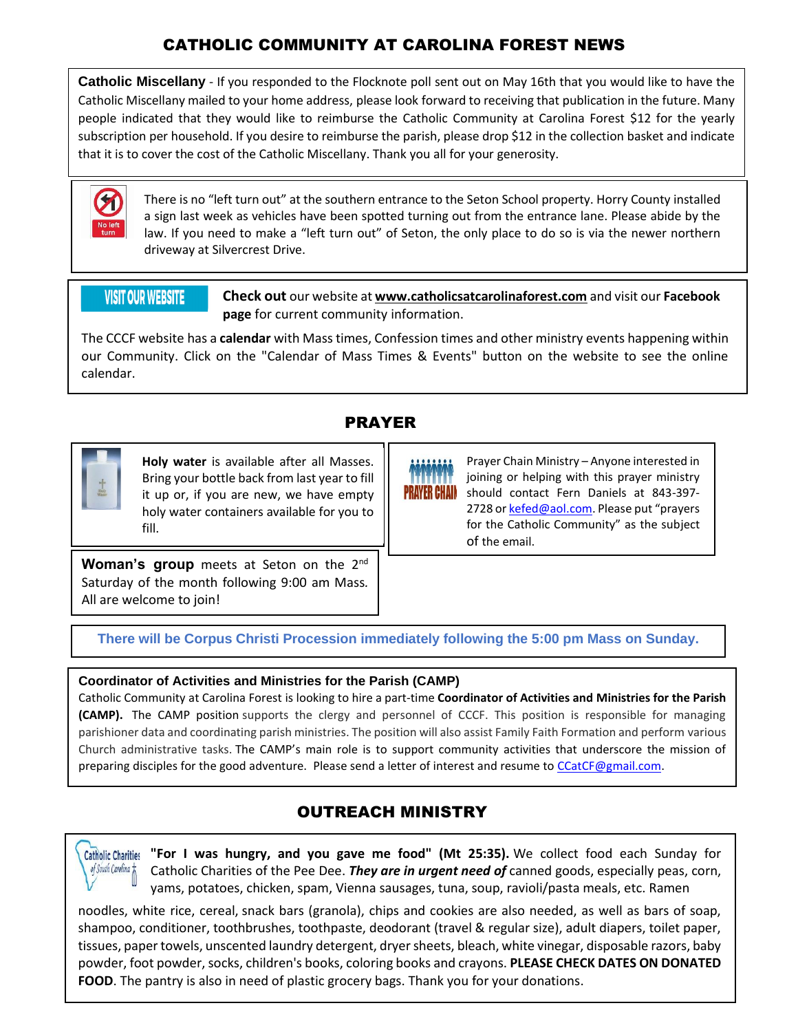### CATHOLIC COMMUNITY AT CAROLINA FOREST NEWS

**Catholic Miscellany** - If you responded to the Flocknote poll sent out on May 16th that you would like to have the Catholic Miscellany mailed to your home address, please look forward to receiving that publication in the future. Many people indicated that they would like to reimburse the Catholic Community at Carolina Forest \$12 for the yearly subscription per household. If you desire to reimburse the parish, please drop \$12 in the collection basket and indicate that it is to cover the cost of the Catholic Miscellany. Thank you all for your generosity.



There is no "left turn out" at the southern entrance to the Seton School property. Horry County installed a sign last week as vehicles have been spotted turning out from the entrance lane. Please abide by the law. If you need to make a "left turn out" of Seton, the only place to do so is via the newer northern driveway at Silvercrest Drive.

### **VISIT OUR WEBSITE**

**Check out** our website at **www.catholicsatcarolinaforest.com** and visit our **Facebook page** for current community information.

The CCCF website has a **calendar** with Mass times, Confession times and other ministry events happening within our Community. Click on the "Calendar of Mass Times & Events" button on the website to see the online calendar.

### PRAYER



**Holy water** is available after all Masses. Bring your bottle back from last year to fill it up or, if you are new, we have empty holy water containers available for you to fill.



Prayer Chain Ministry – Anyone interested in joining or helping with this prayer ministry should contact Fern Daniels at 843-397 2728 o[r kefed@aol.com.](mailto:kefed@aol.com) Please put "prayers for the Catholic Community" as the subject of the email.

**Woman's group** meets at Seton on the 2<sup>nd</sup> Saturday of the month following 9:00 am Mass*.*  All are welcome to join!

**There will be Corpus Christi Procession immediately following the 5:00 pm Mass on Sunday.**

#### **Coordinator of Activities and Ministries for the Parish (CAMP)**

Catholic Community at Carolina Forest is looking to hire a part-time **Coordinator of Activities and Ministries for the Parish (CAMP).** The CAMP position supports the clergy and personnel of CCCF. This position is responsible for managing parishioner data and coordinating parish ministries. The position will also assist Family Faith Formation and perform various Church administrative tasks. The CAMP's main role is to support community activities that underscore the mission of preparing disciples for the good adventure. Please send a letter of interest and resume to [CCatCF@gmail.com.](mailto:CCatCF@gmail.com)

# OUTREACH MINISTRY



**"For I was hungry, and you gave me food" (Mt 25:35).** We collect food each Sunday for Catholic Charities of the Pee Dee. *They are in urgent need of* canned goods, especially peas, corn, yams, potatoes, chicken, spam, Vienna sausages, tuna, soup, ravioli/pasta meals, etc. Ramen

noodles, white rice, cereal, snack bars (granola), chips and cookies are also needed, as well as bars of soap, shampoo, conditioner, toothbrushes, toothpaste, deodorant (travel & regular size), adult diapers, toilet paper, tissues, paper towels, unscented laundry detergent, dryer sheets, bleach, white vinegar, disposable razors, baby powder, foot powder, socks, children's books, coloring books and crayons. **PLEASE CHECK DATES ON DONATED FOOD**. The pantry is also in need of plastic grocery bags. Thank you for your donations.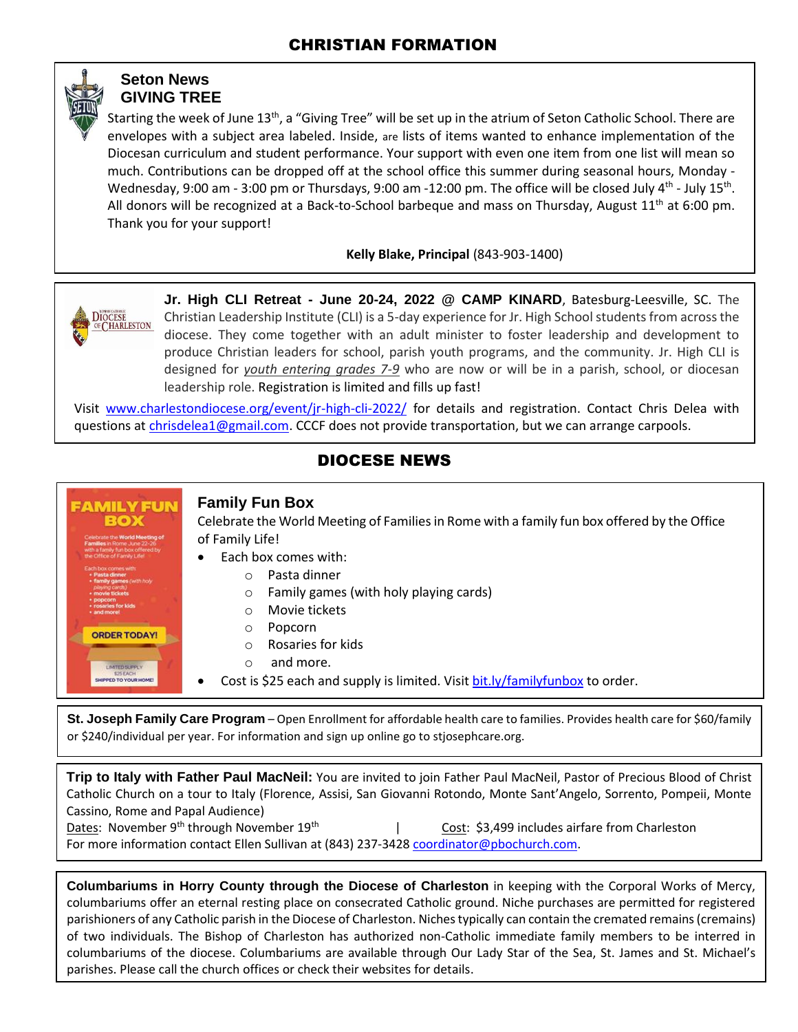### **Seton News GIVING TREE**

Starting the week of June 13<sup>th</sup>, a "Giving Tree" will be set up in the atrium of Seton Catholic School. There are envelopes with a subject area labeled. Inside, are lists of items wanted to enhance implementation of the Diocesan curriculum and student performance. Your support with even one item from one list will mean so much. Contributions can be dropped off at the school office this summer during seasonal hours, Monday - Wednesday, 9:00 am - 3:00 pm or Thursdays, 9:00 am -12:00 pm. The office will be closed July 4<sup>th</sup> - July 15<sup>th</sup>. All donors will be recognized at a Back-to-School barbeque and mass on Thursday, August  $11<sup>th</sup>$  at 6:00 pm. Thank you for your support!

**Kelly Blake, Principal** (843-903-1400)



**Jr. High CLI Retreat - June 20-24, 2022 @ CAMP KINARD**, Batesburg-Leesville, SC. The Christian Leadership Institute (CLI) is a 5-day experience for Jr. High School students from across the diocese. They come together with an adult minister to foster leadership and development to produce Christian leaders for school, parish youth programs, and the community. Jr. High CLI is designed for *youth entering grades 7-9* who are now or will be in a parish, school, or diocesan leadership role. Registration is limited and fills up fast!

Visit [www.charlestondiocese.org/event/jr-high-cli-2022/](http://www.charlestondiocese.org/event/jr-high-cli-2022/) for details and registration. Contact Chris Delea with questions at [chrisdelea1@gmail.com.](mailto:chrisdelea1@gmail.com) CCCF does not provide transportation, but we can arrange carpools.

### DIOCESE NEWS



**Family Fun Box**

Celebrate the World Meeting of Families in Rome with a family fun box offered by the Office of Family Life!

- Each box comes with:
	- o Pasta dinner
	- o Family games (with holy playing cards)
	- o Movie tickets
	- o Popcorn
	- o Rosaries for kids
	- o and more.
	- Cost is \$25 each and supply is limited. Visit [bit.ly/familyfunbox](http://bit.ly/familyfunbox) to order.

**St. Joseph Family Care Program** – Open Enrollment for affordable health care to families. Provides health care for \$60/family or \$240/individual per year. For information and sign up online go to stjosephcare.org.

**Trip to Italy with Father Paul MacNeil:** You are invited to join Father Paul MacNeil, Pastor of Precious Blood of Christ Catholic Church on a tour to Italy (Florence, Assisi, San Giovanni Rotondo, Monte Sant'Angelo, Sorrento, Pompeii, Monte Cassino, Rome and Papal Audience) Dates: November 9<sup>th</sup> through November 19<sup>th</sup> | Cost: \$3,499 includes airfare from Charleston For more information contact Ellen Sullivan at (843) 237-3428 [coordinator@pbochurch.com.](mailto:coordinator@pbochurch.com) 

**Columbariums in Horry County through the Diocese of Charleston** in keeping with the Corporal Works of Mercy, columbariums offer an eternal resting place on consecrated Catholic ground. Niche purchases are permitted for registered parishioners of any Catholic parish in the Diocese of Charleston. Niches typically can contain the cremated remains (cremains) of two individuals. The Bishop of Charleston has authorized non-Catholic immediate family members to be interred in columbariums of the diocese. Columbariums are available through Our Lady Star of the Sea, St. James and St. Michael's parishes. Please call the church offices or check their websites for details.